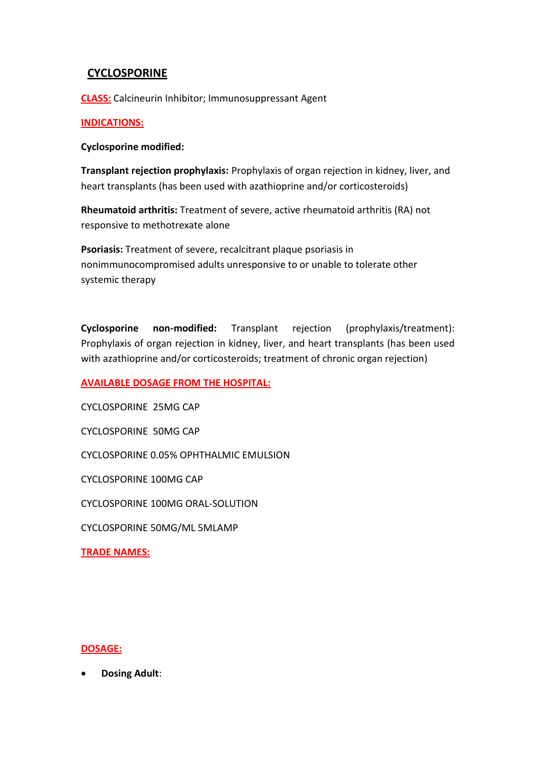## **CYCLOSPORINE**

**CLASS:** Calcineurin Inhibitor; Immunosuppressant Agent

### **INDICATIONS:**

### **Cyclosporine modified:**

**Transplant rejection prophylaxis:** Prophylaxis of organ rejection in kidney, liver, and heart transplants (has been used with azathioprine and/or corticosteroids)

**Rheumatoid arthritis:** Treatment of severe, active rheumatoid arthritis (RA) not responsive to methotrexate alone

**Psoriasis:** Treatment of severe, recalcitrant plaque psoriasis in nonimmunocompromised adults unresponsive to or unable to tolerate other systemic therapy

**Cyclosporine non-modified:** Transplant rejection (prophylaxis/treatment): Prophylaxis of organ rejection in kidney, liver, and heart transplants (has been used with azathioprine and/or corticosteroids; treatment of chronic organ rejection)

**AVAILABLE DOSAGE FROM THE HOSPITAL:**

CYCLOSPORINE 25MG CAP CYCLOSPORINE 50MG CAP CYCLOSPORINE 0.05% OPHTHALMIC EMULSION CYCLOSPORINE 100MG CAP CYCLOSPORINE 100MG ORAL-SOLUTION CYCLOSPORINE 50MG/ML 5MLAMP

**TRADE NAMES:**

### **DOSAGE:**

**Dosing Adult**: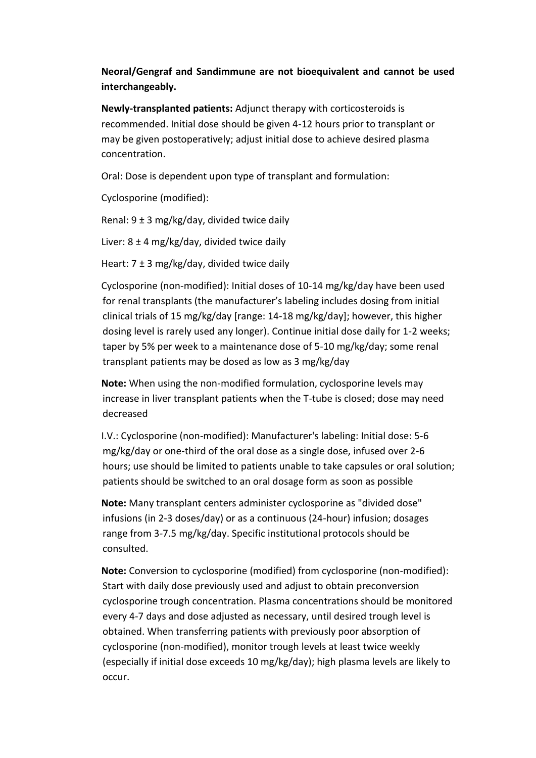# **Neoral/Gengraf and Sandimmune are not bioequivalent and cannot be used interchangeably.**

**Newly-transplanted patients:** Adjunct therapy with corticosteroids is recommended. Initial dose should be given 4-12 hours prior to transplant or may be given postoperatively; adjust initial dose to achieve desired plasma concentration.

Oral: Dose is dependent upon type of transplant and formulation:

Cyclosporine (modified):

Renal:  $9 \pm 3$  mg/kg/day, divided twice daily

Liver: 8 ± 4 mg/kg/day, divided twice daily

Heart:  $7 \pm 3$  mg/kg/day, divided twice daily

Cyclosporine (non-modified): Initial doses of 10-14 mg/kg/day have been used for renal transplants (the manufacturer's labeling includes dosing from initial clinical trials of 15 mg/kg/day [range: 14-18 mg/kg/day]; however, this higher dosing level is rarely used any longer). Continue initial dose daily for 1-2 weeks; taper by 5% per week to a maintenance dose of 5-10 mg/kg/day; some renal transplant patients may be dosed as low as 3 mg/kg/day

**Note:** When using the non-modified formulation, cyclosporine levels may increase in liver transplant patients when the T-tube is closed; dose may need decreased

I.V.: Cyclosporine (non-modified): Manufacturer's labeling: Initial dose: 5-6 mg/kg/day or one-third of the oral dose as a single dose, infused over 2-6 hours; use should be limited to patients unable to take capsules or oral solution; patients should be switched to an oral dosage form as soon as possible

**Note:** Many transplant centers administer cyclosporine as "divided dose" infusions (in 2-3 doses/day) or as a continuous (24-hour) infusion; dosages range from 3-7.5 mg/kg/day. Specific institutional protocols should be consulted.

**Note:** Conversion to cyclosporine (modified) from cyclosporine (non-modified): Start with daily dose previously used and adjust to obtain preconversion cyclosporine trough concentration. Plasma concentrations should be monitored every 4-7 days and dose adjusted as necessary, until desired trough level is obtained. When transferring patients with previously poor absorption of cyclosporine (non-modified), monitor trough levels at least twice weekly (especially if initial dose exceeds 10 mg/kg/day); high plasma levels are likely to occur.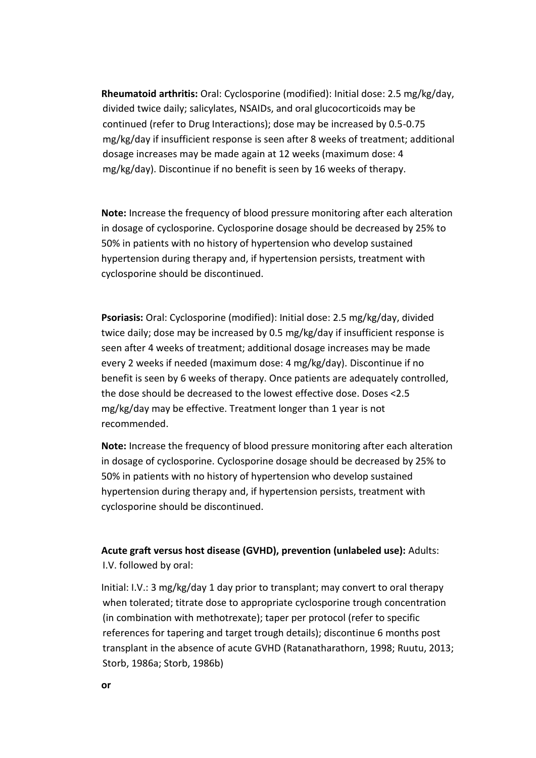**Rheumatoid arthritis:** Oral: Cyclosporine (modified): Initial dose: 2.5 mg/kg/day, divided twice daily; salicylates, NSAIDs, and oral glucocorticoids may be continued (refer to Drug Interactions); dose may be increased by 0.5-0.75 mg/kg/day if insufficient response is seen after 8 weeks of treatment; additional dosage increases may be made again at 12 weeks (maximum dose: 4 mg/kg/day). Discontinue if no benefit is seen by 16 weeks of therapy.

**Note:** Increase the frequency of blood pressure monitoring after each alteration in dosage of cyclosporine. Cyclosporine dosage should be decreased by 25% to 50% in patients with no history of hypertension who develop sustained hypertension during therapy and, if hypertension persists, treatment with cyclosporine should be discontinued.

**Psoriasis:** Oral: Cyclosporine (modified): Initial dose: 2.5 mg/kg/day, divided twice daily; dose may be increased by 0.5 mg/kg/day if insufficient response is seen after 4 weeks of treatment; additional dosage increases may be made every 2 weeks if needed (maximum dose: 4 mg/kg/day). Discontinue if no benefit is seen by 6 weeks of therapy. Once patients are adequately controlled, the dose should be decreased to the lowest effective dose. Doses <2.5 mg/kg/day may be effective. Treatment longer than 1 year is not recommended.

**Note:** Increase the frequency of blood pressure monitoring after each alteration in dosage of cyclosporine. Cyclosporine dosage should be decreased by 25% to 50% in patients with no history of hypertension who develop sustained hypertension during therapy and, if hypertension persists, treatment with cyclosporine should be discontinued.

## **Acute graft versus host disease (GVHD), prevention (unlabeled use):** Adults: I.V. followed by oral:

Initial: I.V.: 3 mg/kg/day 1 day prior to transplant; may convert to oral therapy when tolerated; titrate dose to appropriate cyclosporine trough concentration (in combination with methotrexate); taper per protocol (refer to specific references for tapering and target trough details); discontinue 6 months post transplant in the absence of acute GVHD (Ratanatharathorn, 1998; Ruutu, 2013; Storb, 1986a; Storb, 1986b)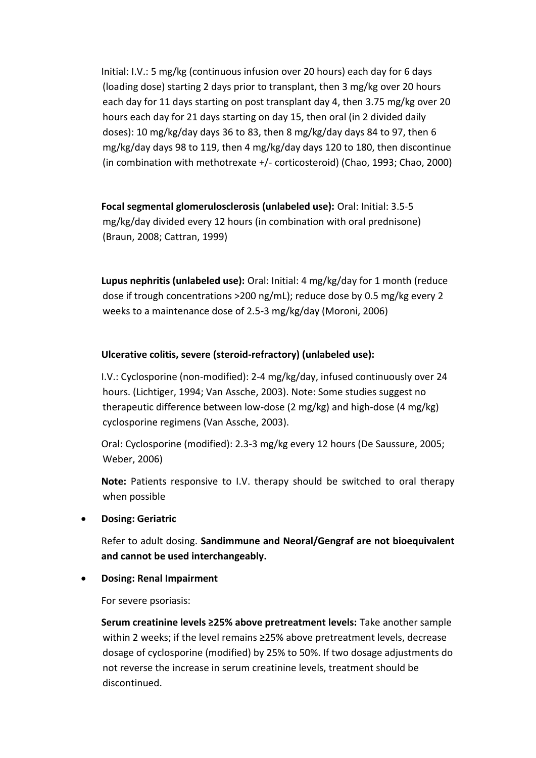Initial: I.V.: 5 mg/kg (continuous infusion over 20 hours) each day for 6 days (loading dose) starting 2 days prior to transplant, then 3 mg/kg over 20 hours each day for 11 days starting on post transplant day 4, then 3.75 mg/kg over 20 hours each day for 21 days starting on day 15, then oral (in 2 divided daily doses): 10 mg/kg/day days 36 to 83, then 8 mg/kg/day days 84 to 97, then 6 mg/kg/day days 98 to 119, then 4 mg/kg/day days 120 to 180, then discontinue (in combination with methotrexate +/- corticosteroid) (Chao, 1993; Chao, 2000)

**Focal segmental glomerulosclerosis (unlabeled use):** Oral: Initial: 3.5-5 mg/kg/day divided every 12 hours (in combination with oral prednisone) (Braun, 2008; Cattran, 1999)

**Lupus nephritis (unlabeled use):** Oral: Initial: 4 mg/kg/day for 1 month (reduce dose if trough concentrations >200 ng/mL); reduce dose by 0.5 mg/kg every 2 weeks to a maintenance dose of 2.5-3 mg/kg/day (Moroni, 2006)

### **Ulcerative colitis, severe (steroid-refractory) (unlabeled use):**

I.V.: Cyclosporine (non-modified): 2-4 mg/kg/day, infused continuously over 24 hours. (Lichtiger, 1994; Van Assche, 2003). Note: Some studies suggest no therapeutic difference between low-dose (2 mg/kg) and high-dose (4 mg/kg) cyclosporine regimens (Van Assche, 2003).

Oral: Cyclosporine (modified): 2.3-3 mg/kg every 12 hours (De Saussure, 2005; Weber, 2006)

**Note:** Patients responsive to I.V. therapy should be switched to oral therapy when possible

**Dosing: Geriatric**

Refer to adult dosing. **Sandimmune and Neoral/Gengraf are not bioequivalent and cannot be used interchangeably.**

**Dosing: Renal Impairment**

For severe psoriasis:

**Serum creatinine levels ≥25% above pretreatment levels:** Take another sample within 2 weeks; if the level remains ≥25% above pretreatment levels, decrease dosage of cyclosporine (modified) by 25% to 50%. If two dosage adjustments do not reverse the increase in serum creatinine levels, treatment should be discontinued.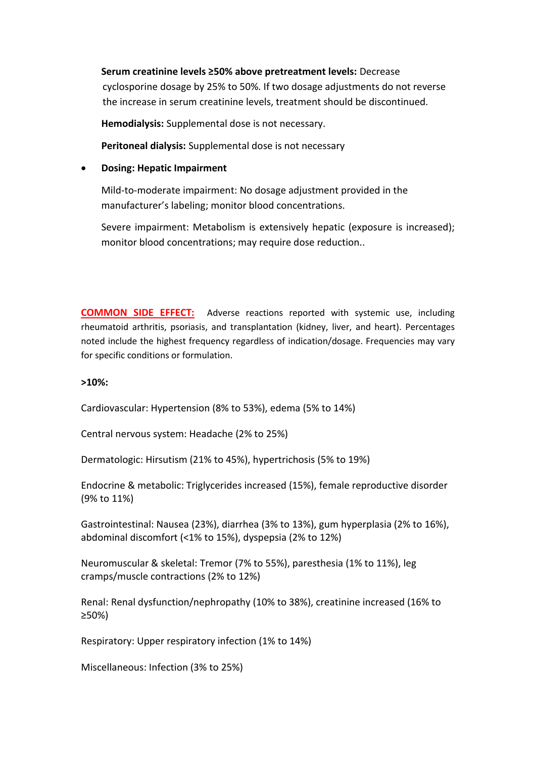### **Serum creatinine levels ≥50% above pretreatment levels:** Decrease

cyclosporine dosage by 25% to 50%. If two dosage adjustments do not reverse the increase in serum creatinine levels, treatment should be discontinued.

**Hemodialysis:** Supplemental dose is not necessary.

**Peritoneal dialysis:** Supplemental dose is not necessary

#### **Dosing: Hepatic Impairment**

Mild-to-moderate impairment: No dosage adjustment provided in the manufacturer's labeling; monitor blood concentrations.

Severe impairment: Metabolism is extensively hepatic (exposure is increased); monitor blood concentrations; may require dose reduction..

**COMMON SIDE EFFECT:** Adverse reactions reported with systemic use, including rheumatoid arthritis, psoriasis, and transplantation (kidney, liver, and heart). Percentages noted include the highest frequency regardless of indication/dosage. Frequencies may vary for specific conditions or formulation.

#### **>10%:**

Cardiovascular: Hypertension (8% to 53%), edema (5% to 14%)

Central nervous system: Headache (2% to 25%)

Dermatologic: Hirsutism (21% to 45%), hypertrichosis (5% to 19%)

Endocrine & metabolic: Triglycerides increased (15%), female reproductive disorder (9% to 11%)

Gastrointestinal: Nausea (23%), diarrhea (3% to 13%), gum hyperplasia (2% to 16%), abdominal discomfort (<1% to 15%), dyspepsia (2% to 12%)

Neuromuscular & skeletal: Tremor (7% to 55%), paresthesia (1% to 11%), leg cramps/muscle contractions (2% to 12%)

Renal: Renal dysfunction/nephropathy (10% to 38%), creatinine increased (16% to ≥50%)

Respiratory: Upper respiratory infection (1% to 14%)

Miscellaneous: Infection (3% to 25%)